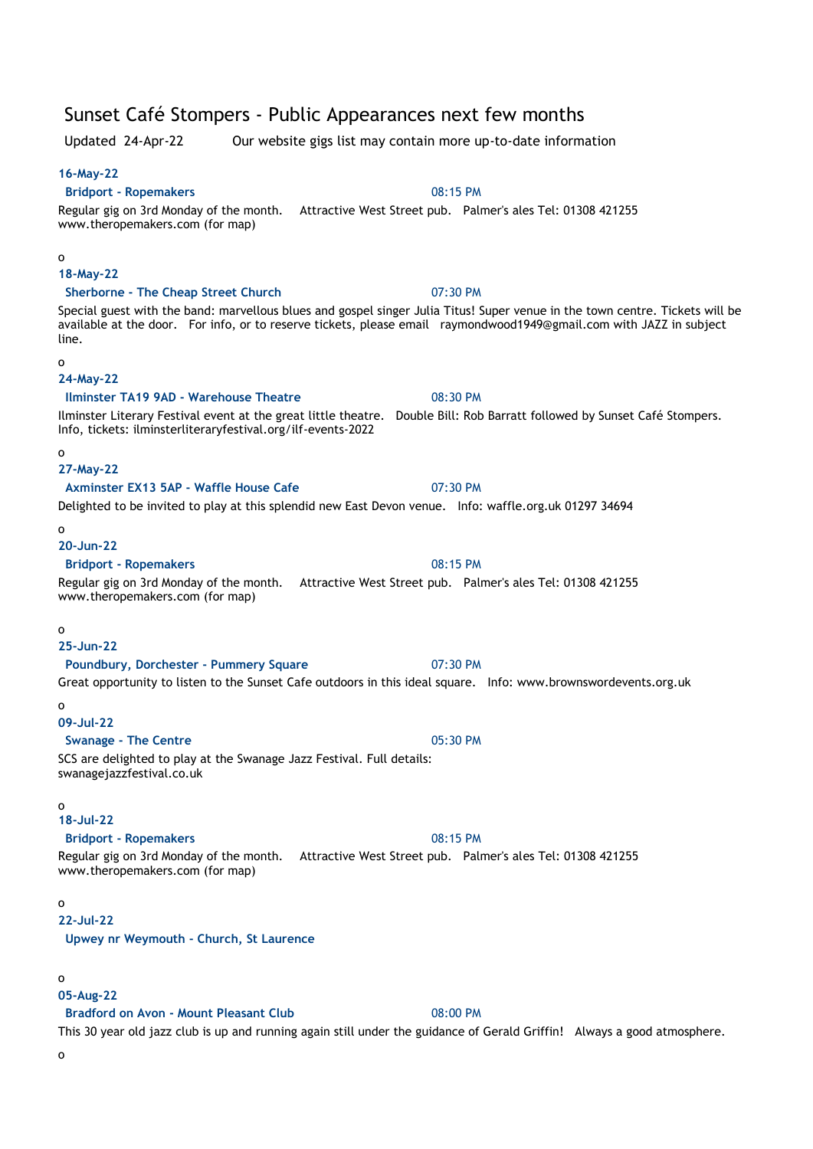# Sunset Café Stompers - Public Appearances next few months

Updated 24-Apr-22 Our website gigs list may contain more up-to-date information

# **16-May-22**

# **Bridport - Ropemakers** 08:15 PM

# Regular gig on 3rd Monday of the month. Attractive West Street pub. Palmer's ales Tel: 01308 421255 www.theropemakers.com (for map)

#### o

### **18-May-22**

# **Sherborne - The Cheap Street Church** 07:30 PM

Special guest with the band: marvellous blues and gospel singer Julia Titus! Super venue in the town centre. Tickets will be available at the door. For info, or to reserve tickets, please email raymondwood1949@gmail.com with JAZZ in subject line.

#### o

# **24-May-22**

# **Ilminster TA19 9AD - Warehouse Theatre** 08:30 PM

Ilminster Literary Festival event at the great little theatre. Double Bill: Rob Barratt followed by Sunset Café Stompers. Info, tickets: ilminsterliteraryfestival.org/ilf-events-2022

# o

# **27-May-22**

## **Axminster EX13 5AP - Waffle House Cafe** 07:30 PM

# Delighted to be invited to play at this splendid new East Devon venue. Info: waffle.org.uk 01297 34694

# o

## **20-Jun-22**

#### **Bridport - Ropemakers** 08:15 PM

# Regular gig on 3rd Monday of the month. Attractive West Street pub. Palmer's ales Tel: 01308 421255

### www.theropemakers.com (for map)

### o

### **25-Jun-22**

# **Poundbury, Dorchester - Pummery Square** 07:30 PM

# Great opportunity to listen to the Sunset Cafe outdoors in this ideal square. Info: www.brownswordevents.org.uk

#### o

### **09-Jul-22**

# **Swanage - The Centre 18 and 20 and 20 and 20 and 20 and 20 and 20 and 20 and 20 and 20 and 20 and 20 and 20 and 20 and 20 and 20 and 20 and 20 and 20 and 20 and 20 and 20 and 20 and 20 and 20 and 20 and 20 and 20 and 20**

### SCS are delighted to play at the Swanage Jazz Festival. Full details: swanagejazzfestival.co.uk

#### o

# **18-Jul-22**

### **Bridport - Ropemakers** 08:15 PM

Regular gig on 3rd Monday of the month. Attractive West Street pub. Palmer's ales Tel: 01308 421255 www.theropemakers.com (for map)

#### o

### **22-Jul-22**

**Upwey nr Weymouth - Church, St Laurence**

### o

### **05-Aug-22**

### **Bradford on Avon - Mount Pleasant Club** 08:00 PM

This 30 year old jazz club is up and running again still under the guidance of Gerald Griffin! Always a good atmosphere.

o